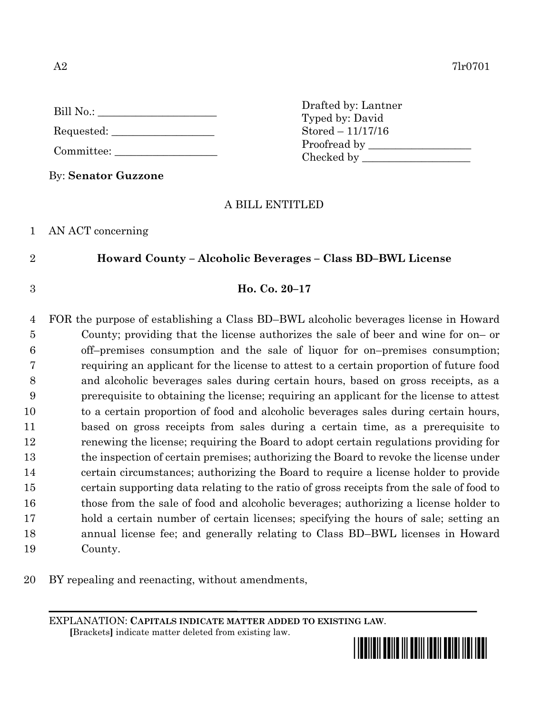| Bill No.: |  |  |
|-----------|--|--|
|           |  |  |

| Requested: |  |
|------------|--|
|            |  |

Committee:

By: **Senator Guzzone**

Drafted by: Lantner Typed by: David Stored – 11/17/16 Proofread by Checked by \_\_\_\_\_\_\_\_\_\_\_\_\_\_\_\_\_\_\_\_

## A BILL ENTITLED

1 AN ACT concerning

## 2 **Howard County – Alcoholic Beverages – Class BD–BWL License**

## 3 **Ho. Co. 20–17**

 FOR the purpose of establishing a Class BD–BWL alcoholic beverages license in Howard County; providing that the license authorizes the sale of beer and wine for on– or off–premises consumption and the sale of liquor for on–premises consumption; requiring an applicant for the license to attest to a certain proportion of future food and alcoholic beverages sales during certain hours, based on gross receipts, as a prerequisite to obtaining the license; requiring an applicant for the license to attest to a certain proportion of food and alcoholic beverages sales during certain hours, based on gross receipts from sales during a certain time, as a prerequisite to renewing the license; requiring the Board to adopt certain regulations providing for the inspection of certain premises; authorizing the Board to revoke the license under certain circumstances; authorizing the Board to require a license holder to provide certain supporting data relating to the ratio of gross receipts from the sale of food to those from the sale of food and alcoholic beverages; authorizing a license holder to hold a certain number of certain licenses; specifying the hours of sale; setting an annual license fee; and generally relating to Class BD–BWL licenses in Howard 19 County.

20 BY repealing and reenacting, without amendments,

EXPLANATION: **CAPITALS INDICATE MATTER ADDED TO EXISTING LAW**.  **[**Brackets**]** indicate matter deleted from existing law.

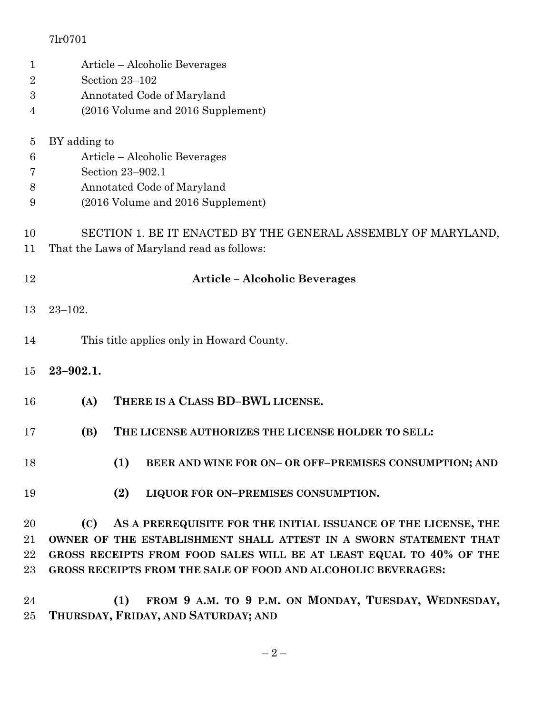## 7lr0701

| 1        | Article – Alcoholic Beverages                                                                               |  |  |  |  |
|----------|-------------------------------------------------------------------------------------------------------------|--|--|--|--|
| 2        | Section 23-102                                                                                              |  |  |  |  |
| 3        | Annotated Code of Maryland                                                                                  |  |  |  |  |
| 4        | (2016 Volume and 2016 Supplement)                                                                           |  |  |  |  |
| 5        | BY adding to                                                                                                |  |  |  |  |
| 6        | Article – Alcoholic Beverages                                                                               |  |  |  |  |
| 7        | Section 23-902.1                                                                                            |  |  |  |  |
| 8        | Annotated Code of Maryland                                                                                  |  |  |  |  |
| 9        | (2016 Volume and 2016 Supplement)                                                                           |  |  |  |  |
| 10<br>11 | SECTION 1. BE IT ENACTED BY THE GENERAL ASSEMBLY OF MARYLAND,<br>That the Laws of Maryland read as follows: |  |  |  |  |
| 12       | <b>Article - Alcoholic Beverages</b>                                                                        |  |  |  |  |
| 13       | $23 - 102.$                                                                                                 |  |  |  |  |
| 14       | This title applies only in Howard County.                                                                   |  |  |  |  |
| 15       | $23 - 902.1.$                                                                                               |  |  |  |  |
| 16       | THERE IS A CLASS BD-BWL LICENSE.<br>(A)                                                                     |  |  |  |  |
| 17       | (B)<br>THE LICENSE AUTHORIZES THE LICENSE HOLDER TO SELL:                                                   |  |  |  |  |
| 18       | (1)<br>BEER AND WINE FOR ON- OR OFF-PREMISES CONSUMPTION; AND                                               |  |  |  |  |
| 19       | (2)<br>LIQUOR FOR ON-PREMISES CONSUMPTION.                                                                  |  |  |  |  |
| 20       | AS A PREREQUISITE FOR THE INITIAL ISSUANCE OF THE LICENSE, THE<br>(C)                                       |  |  |  |  |
| 21       | OWNER OF THE ESTABLISHMENT SHALL ATTEST IN A SWORN STATEMENT THAT                                           |  |  |  |  |
| 22       | GROSS RECEIPTS FROM FOOD SALES WILL BE AT LEAST EQUAL TO 40% OF THE                                         |  |  |  |  |
| 23       | <b>GROSS RECEIPTS FROM THE SALE OF FOOD AND ALCOHOLIC BEVERAGES:</b>                                        |  |  |  |  |
|          |                                                                                                             |  |  |  |  |

 **(1) FROM 9 A.M. TO 9 P.M. ON MONDAY, TUESDAY, WEDNESDAY, THURSDAY, FRIDAY, AND SATURDAY; AND**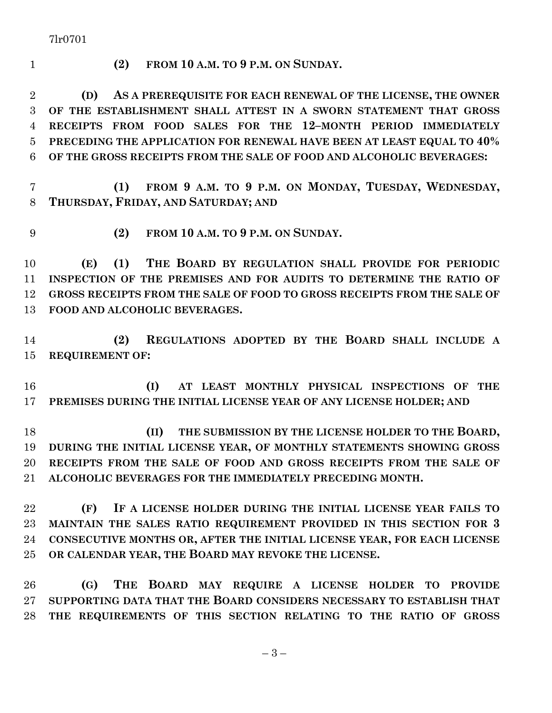7lr0701

- 
- **(2) FROM 10 A.M. TO 9 P.M. ON SUNDAY.**

 **(D) AS A PREREQUISITE FOR EACH RENEWAL OF THE LICENSE, THE OWNER OF THE ESTABLISHMENT SHALL ATTEST IN A SWORN STATEMENT THAT GROSS RECEIPTS FROM FOOD SALES FOR THE 12–MONTH PERIOD IMMEDIATELY PRECEDING THE APPLICATION FOR RENEWAL HAVE BEEN AT LEAST EQUAL TO 40% OF THE GROSS RECEIPTS FROM THE SALE OF FOOD AND ALCOHOLIC BEVERAGES:**

 **(1) FROM 9 A.M. TO 9 P.M. ON MONDAY, TUESDAY, WEDNESDAY, THURSDAY, FRIDAY, AND SATURDAY; AND**

**(2) FROM 10 A.M. TO 9 P.M. ON SUNDAY.**

 **(E) (1) THE BOARD BY REGULATION SHALL PROVIDE FOR PERIODIC INSPECTION OF THE PREMISES AND FOR AUDITS TO DETERMINE THE RATIO OF GROSS RECEIPTS FROM THE SALE OF FOOD TO GROSS RECEIPTS FROM THE SALE OF FOOD AND ALCOHOLIC BEVERAGES.**

 **(2) REGULATIONS ADOPTED BY THE BOARD SHALL INCLUDE A REQUIREMENT OF:**

 **(I) AT LEAST MONTHLY PHYSICAL INSPECTIONS OF THE PREMISES DURING THE INITIAL LICENSE YEAR OF ANY LICENSE HOLDER; AND**

 **(II) THE SUBMISSION BY THE LICENSE HOLDER TO THE BOARD, DURING THE INITIAL LICENSE YEAR, OF MONTHLY STATEMENTS SHOWING GROSS RECEIPTS FROM THE SALE OF FOOD AND GROSS RECEIPTS FROM THE SALE OF ALCOHOLIC BEVERAGES FOR THE IMMEDIATELY PRECEDING MONTH.**

 **(F) IF A LICENSE HOLDER DURING THE INITIAL LICENSE YEAR FAILS TO MAINTAIN THE SALES RATIO REQUIREMENT PROVIDED IN THIS SECTION FOR 3 CONSECUTIVE MONTHS OR, AFTER THE INITIAL LICENSE YEAR, FOR EACH LICENSE OR CALENDAR YEAR, THE BOARD MAY REVOKE THE LICENSE.**

 **(G) THE BOARD MAY REQUIRE A LICENSE HOLDER TO PROVIDE SUPPORTING DATA THAT THE BOARD CONSIDERS NECESSARY TO ESTABLISH THAT THE REQUIREMENTS OF THIS SECTION RELATING TO THE RATIO OF GROSS**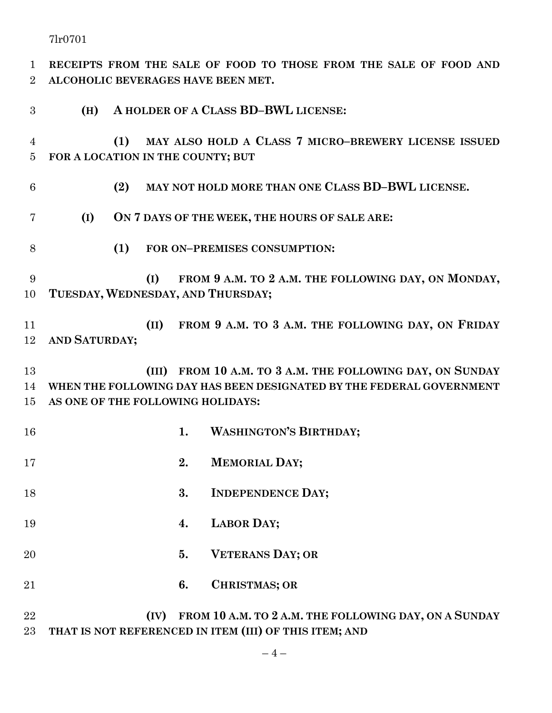7lr0701

 **RECEIPTS FROM THE SALE OF FOOD TO THOSE FROM THE SALE OF FOOD AND ALCOHOLIC BEVERAGES HAVE BEEN MET. (H) A HOLDER OF A CLASS BD–BWL LICENSE:**

 **(1) MAY ALSO HOLD A CLASS 7 MICRO–BREWERY LICENSE ISSUED FOR A LOCATION IN THE COUNTY; BUT**

- **(2) MAY NOT HOLD MORE THAN ONE CLASS BD–BWL LICENSE.**
- **(I) ON 7 DAYS OF THE WEEK, THE HOURS OF SALE ARE:**
- **(1) FOR ON–PREMISES CONSUMPTION:**

 **(I) FROM 9 A.M. TO 2 A.M. THE FOLLOWING DAY, ON MONDAY, TUESDAY, WEDNESDAY, AND THURSDAY;**

 **(II) FROM 9 A.M. TO 3 A.M. THE FOLLOWING DAY, ON FRIDAY AND SATURDAY;**

 **(III) FROM 10 A.M. TO 3 A.M. THE FOLLOWING DAY, ON SUNDAY WHEN THE FOLLOWING DAY HAS BEEN DESIGNATED BY THE FEDERAL GOVERNMENT AS ONE OF THE FOLLOWING HOLIDAYS:**

- **1. WASHINGTON'S BIRTHDAY;**
- **2. MEMORIAL DAY;**
- **3. INDEPENDENCE DAY;**
- **4. LABOR DAY;**
- **5. VETERANS DAY; OR**
- **6. CHRISTMAS; OR**

 **(IV) FROM 10 A.M. TO 2 A.M. THE FOLLOWING DAY, ON A SUNDAY THAT IS NOT REFERENCED IN ITEM (III) OF THIS ITEM; AND**